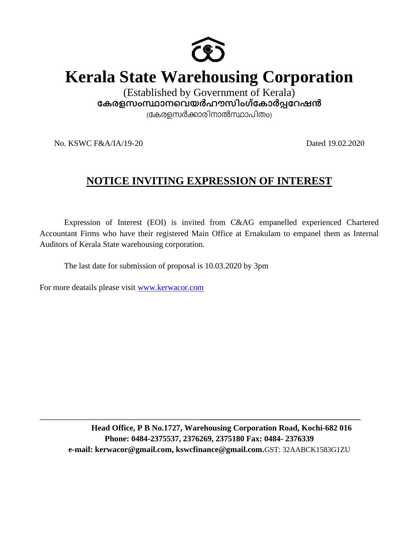

# **Kerala State Warehousing Corporation**

(Established by Government of Kerala) കേരളസംസ്ഥാനവെയർഹൗസിംഗ്കോർ**പ്പറേഷ**ൻ (കേരളസർക്കാരിനാൽസ്ഥാപിതം)

No. KSWC F&A/IA/19-20 Dated 19.02.2020

# **NOTICE INVITING EXPRESSION OF INTEREST**

Expression of Interest (EOI) is invited from C&AG empanelled experienced Chartered Accountant Firms who have their registered Main Office at Ernakulam to empanel them as Internal Auditors of Kerala State warehousing corporation.

The last date for submission of proposal is 10.03.2020 by 3pm

For more deatails please visit [www.kerwacor.com](http://www.kerwacor.com/)

**Head Office, P B No.1727, Warehousing Corporation Road, Kochi-682 016 Phone: 0484-2375537, 2376269, 2375180 Fax: 0484- 2376339 e-mail: kerwacor@gmail.com, kswcfinance@gmail.com.**GST: 32AABCK1583G1ZU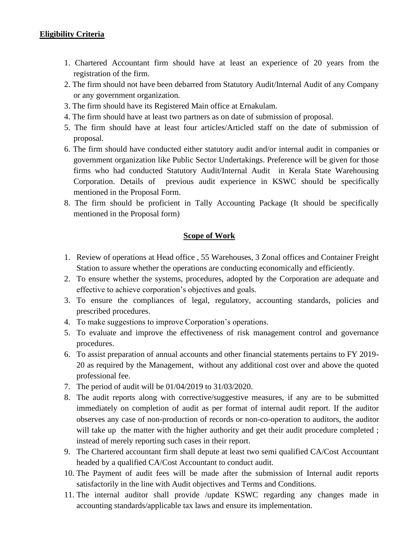### **Eligibility Criteria**

- 1. Chartered Accountant firm should have at least an experience of 20 years from the registration of the firm.
- 2. The firm should not have been debarred from Statutory Audit/Internal Audit of any Company or any government organization.
- 3. The firm should have its Registered Main office at Ernakulam.
- 4. The firm should have at least two partners as on date of submission of proposal.
- 5. The firm should have at least four articles/Articled staff on the date of submission of proposal.
- 6. The firm should have conducted either statutory audit and/or internal audit in companies or government organization like Public Sector Undertakings. Preference will be given for those firms who had conducted Statutory Audit/Internal Audit in Kerala State Warehousing Corporation. Details of previous audit experience in KSWC should be specifically mentioned in the Proposal Form.
- 8. The firm should be proficient in Tally Accounting Package (It should be specifically mentioned in the Proposal form)

#### **Scope of Work**

- 1. Review of operations at Head office , 55 Warehouses, 3 Zonal offices and Container Freight Station to assure whether the operations are conducting economically and efficiently.
- 2. To ensure whether the systems, procedures, adopted by the Corporation are adequate and effective to achieve corporation's objectives and goals.
- 3. To ensure the compliances of legal, regulatory, accounting standards, policies and prescribed procedures.
- 4. To make suggestions to improve Corporation's operations.
- 5. To evaluate and improve the effectiveness of risk management control and governance procedures.
- 6. To assist preparation of annual accounts and other financial statements pertains to FY 2019- 20 as required by the Management, without any additional cost over and above the quoted professional fee.
- 7. The period of audit will be 01/04/2019 to 31/03/2020.
- 8. The audit reports along with corrective/suggestive measures, if any are to be submitted immediately on completion of audit as per format of internal audit report. If the auditor observes any case of non-production of records or non-co-operation to auditors, the auditor will take up the matter with the higher authority and get their audit procedure completed; instead of merely reporting such cases in their report.
- 9. The Chartered accountant firm shall depute at least two semi qualified CA/Cost Accountant headed by a qualified CA/Cost Accountant to conduct audit.
- 10. The Payment of audit fees will be made after the submission of Internal audit reports satisfactorily in the line with Audit objectives and Terms and Conditions.
- 11. The internal auditor shall provide /update KSWC regarding any changes made in accounting standards/applicable tax laws and ensure its implementation.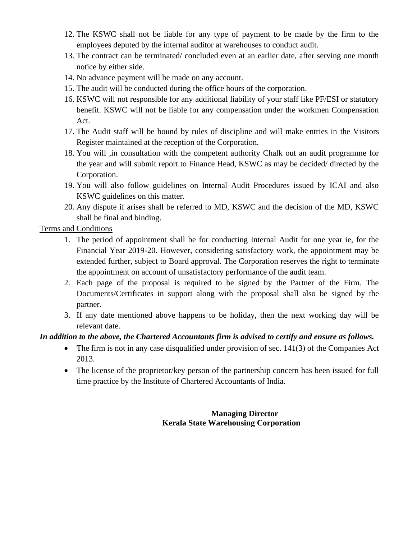- 12. The KSWC shall not be liable for any type of payment to be made by the firm to the employees deputed by the internal auditor at warehouses to conduct audit.
- 13. The contract can be terminated/ concluded even at an earlier date, after serving one month notice by either side.
- 14. No advance payment will be made on any account.
- 15. The audit will be conducted during the office hours of the corporation.
- 16. KSWC will not responsible for any additional liability of your staff like PF/ESI or statutory benefit. KSWC will not be liable for any compensation under the workmen Compensation Act.
- 17. The Audit staff will be bound by rules of discipline and will make entries in the Visitors Register maintained at the reception of the Corporation.
- 18. You will ,in consultation with the competent authority Chalk out an audit programme for the year and will submit report to Finance Head, KSWC as may be decided/ directed by the Corporation.
- 19. You will also follow guidelines on Internal Audit Procedures issued by ICAI and also KSWC guidelines on this matter.
- 20. Any dispute if arises shall be referred to MD, KSWC and the decision of the MD, KSWC shall be final and binding.

Terms and Conditions

- 1. The period of appointment shall be for conducting Internal Audit for one year ie, for the Financial Year 2019-20. However, considering satisfactory work, the appointment may be extended further, subject to Board approval. The Corporation reserves the right to terminate the appointment on account of unsatisfactory performance of the audit team.
- 2. Each page of the proposal is required to be signed by the Partner of the Firm. The Documents/Certificates in support along with the proposal shall also be signed by the partner.
- 3. If any date mentioned above happens to be holiday, then the next working day will be relevant date.

## *In addition to the above, the Chartered Accountants firm is advised to certify and ensure as follows.*

- The firm is not in any case disqualified under provision of sec. 141(3) of the Companies Act 2013.
- The license of the proprietor/key person of the partnership concern has been issued for full time practice by the Institute of Chartered Accountants of India.

### **Managing Director Kerala State Warehousing Corporation**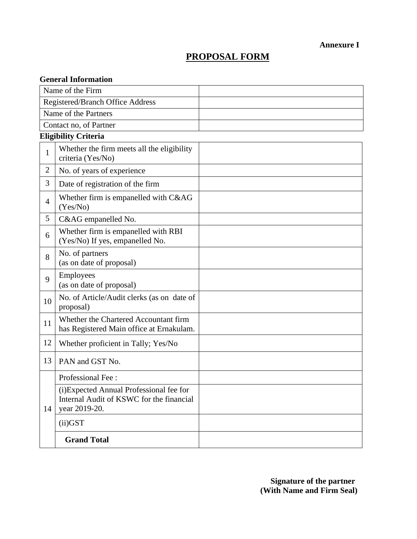**Annexure I**

## **PROPOSAL FORM**

| <b>General Information</b>              |                                                                                                       |  |
|-----------------------------------------|-------------------------------------------------------------------------------------------------------|--|
| Name of the Firm                        |                                                                                                       |  |
| <b>Registered/Branch Office Address</b> |                                                                                                       |  |
|                                         | Name of the Partners                                                                                  |  |
|                                         | Contact no, of Partner                                                                                |  |
| <b>Eligibility Criteria</b>             |                                                                                                       |  |
| $\mathbf{1}$                            | Whether the firm meets all the eligibility<br>criteria (Yes/No)                                       |  |
| $\overline{2}$                          | No. of years of experience                                                                            |  |
| 3                                       | Date of registration of the firm                                                                      |  |
| $\overline{4}$                          | Whether firm is empanelled with C&AG<br>(Yes/No)                                                      |  |
| 5                                       | C&AG empanelled No.                                                                                   |  |
| 6                                       | Whether firm is empanelled with RBI<br>(Yes/No) If yes, empanelled No.                                |  |
| 8                                       | No. of partners<br>(as on date of proposal)                                                           |  |
| 9                                       | <b>Employees</b><br>(as on date of proposal)                                                          |  |
| 10                                      | No. of Article/Audit clerks (as on date of<br>proposal)                                               |  |
| 11                                      | Whether the Chartered Accountant firm<br>has Registered Main office at Ernakulam.                     |  |
| 12                                      | Whether proficient in Tally; Yes/No                                                                   |  |
| 13                                      | PAN and GST No.                                                                                       |  |
| 14                                      | Professional Fee:                                                                                     |  |
|                                         | (i) Expected Annual Professional fee for<br>Internal Audit of KSWC for the financial<br>year 2019-20. |  |
|                                         | $(ii)$ GST                                                                                            |  |
|                                         | <b>Grand Total</b>                                                                                    |  |

 **Signature of the partner (With Name and Firm Seal)**